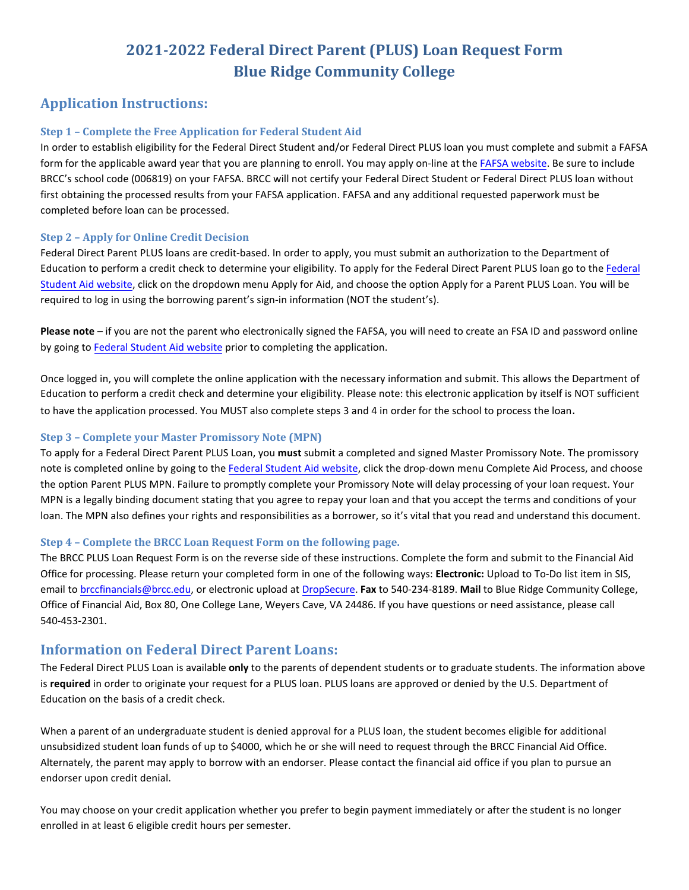# **2021-2022 Federal Direct Parent (PLUS) Loan Request Form Blue Ridge Community College**

## **Application Instructions:**

#### **Step 1 – Complete the Free Application for Federal Student Aid**

In order to establish eligibility for the Federal Direct Student and/or Federal Direct PLUS loan you must complete and submit a FAFSA form for the applicable award year that you are planning to enroll. You may apply on-line at the FAFSA [website.](http://www.fafsa.gov/) Be sure to include BRCC's school code (006819) on your FAFSA. BRCC will not certify your Federal Direct Student or Federal Direct PLUS loan without first obtaining the processed results from your FAFSA application. FAFSA and any additional requested paperwork must be completed before loan can be processed.

#### **Step 2 – Apply for Online Credit Decision**

Federal Direct Parent PLUS loans are credit-based. In order to apply, you must submit an authorization to the Department of Education to perform a credit check to determine your eligibility. To apply for the Federal Direct Parent PLUS loan go to the [Federal](https://studentaid.gov/) [Student Aid](https://studentaid.gov/) website, click on the dropdown menu Apply for Aid, and choose the option Apply for a Parent PLUS Loan. You will be required to log in using the borrowing parent's sign-in information (NOT the student's).

**Please note** – if you are not the parent who electronically signed the FAFSA, you will need to create an FSA ID and password online by going to Federal [Student Aid](https://fsaid.ed.gov/) website prior to completing the application.

Once logged in, you will complete the online application with the necessary information and submit. This allows the Department of Education to perform a credit check and determine your eligibility. Please note: this electronic application by itself is NOT sufficient to have the application processed. You MUST also complete steps 3 and 4 in order for the school to process the loan.

#### **Step 3 – Complete your Master Promissory Note (MPN)**

To apply for a Federal Direct Parent PLUS Loan, you **must** submit a completed and signed Master Promissory Note. The promissory note is completed online by going to the Federal [Student Aid](https://studentaid.gov/) website, click the drop-down menu Complete Aid Process, and choose the option Parent PLUS MPN. Failure to promptly complete your Promissory Note will delay processing of your loan request. Your MPN is a legally binding document stating that you agree to repay your loan and that you accept the terms and conditions of your loan. The MPN also defines your rights and responsibilities as a borrower, so it's vital that you read and understand this document.

#### **Step 4 – Complete the BRCC Loan Request Form on the following page.**

The BRCC PLUS Loan Request Form is on the reverse side of these instructions. Complete the form and submit to the Financial Aid Office for processing. Please return your completed form in one of the following ways: **Electronic:** Upload to To-Do list item in SIS, email to [brccfinancials@brcc.edu,](mailto:brccfinancials@brcc.edu) or electronic upload at [DropSecure.](https://brcc.dropsecure.com/send/fadocs) **Fax** to 540-234-8189. **Mail** to Blue Ridge Community College, Office of Financial Aid, Box 80, One College Lane, Weyers Cave, VA 24486. If you have questions or need assistance, please call 540-453-2301.

### **Information on Federal Direct Parent Loans:**

The Federal Direct PLUS Loan is available **only** to the parents of dependent students or to graduate students. The information above is **required** in order to originate your request for a PLUS loan. PLUS loans are approved or denied by the U.S. Department of Education on the basis of a credit check.

When a parent of an undergraduate student is denied approval for a PLUS loan, the student becomes eligible for additional unsubsidized student loan funds of up to \$4000, which he or she will need to request through the BRCC Financial Aid Office. Alternately, the parent may apply to borrow with an endorser. Please contact the financial aid office if you plan to pursue an endorser upon credit denial.

You may choose on your credit application whether you prefer to begin payment immediately or after the student is no longer enrolled in at least 6 eligible credit hours per semester.